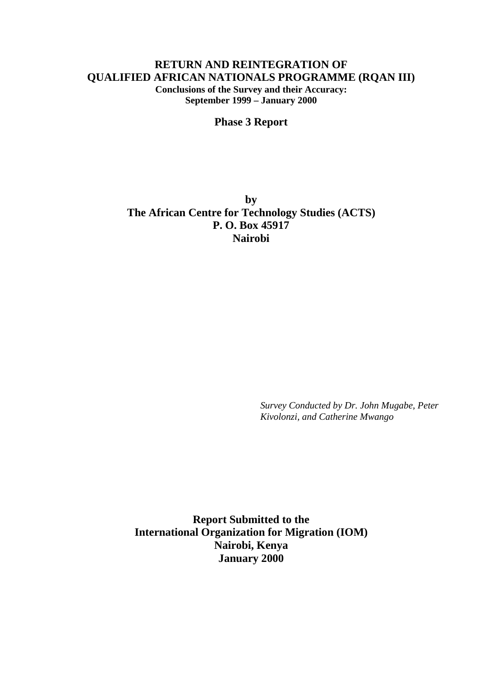# **RETURN AND REINTEGRATION OF QUALIFIED AFRICAN NATIONALS PROGRAMME (RQAN III) Conclusions of the Survey and their Accuracy: September 1999 – January 2000**

**Phase 3 Report**

**by The African Centre for Technology Studies (ACTS) P. O. Box 45917 Nairobi**

> *Survey Conducted by Dr. John Mugabe, Peter Kivolonzi, and Catherine Mwango*

**Report Submitted to the International Organization for Migration (IOM) Nairobi, Kenya January 2000**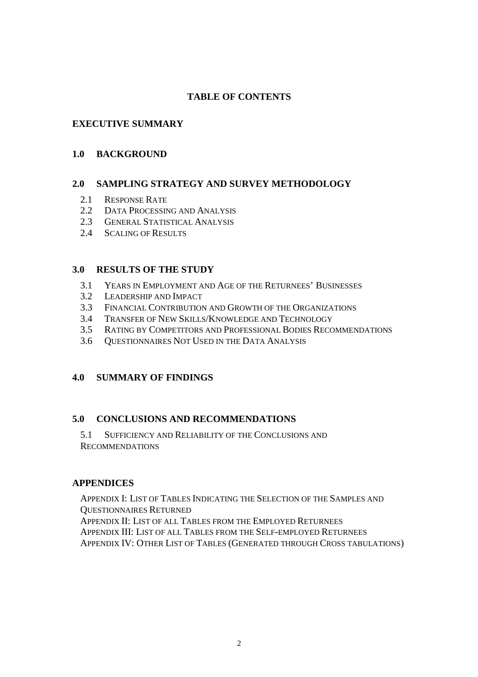## **TABLE OF CONTENTS**

## **EXECUTIVE SUMMARY**

### **1.0 BACKGROUND**

### **2.0 SAMPLING STRATEGY AND SURVEY METHODOLOGY**

- 2.1 RESPONSE RATE
- 2.2 DATA PROCESSING AND ANALYSIS
- 2.3 GENERAL STATISTICAL ANALYSIS
- 2.4 SCALING OF RESULTS

### **3.0 RESULTS OF THE STUDY**

- 3.1 YEARS IN EMPLOYMENT AND AGE OF THE RETURNEES' BUSINESSES
- 3.2 LEADERSHIP AND IMPACT
- 3.3 FINANCIAL CONTRIBUTION AND GROWTH OF THE ORGANIZATIONS
- 3.4 TRANSFER OF NEW SKILLS/KNOWLEDGE AND TECHNOLOGY
- 3.5 RATING BY COMPETITORS AND PROFESSIONAL BODIES RECOMMENDATIONS
- 3.6 QUESTIONNAIRES NOT USED IN THE DATA ANALYSIS

## **4.0 SUMMARY OF FINDINGS**

### **5.0 CONCLUSIONS AND RECOMMENDATIONS**

5.1 SUFFICIENCY AND RELIABILITY OF THE CONCLUSIONS AND RECOMMENDATIONS

### **APPENDICES**

APPENDIX I: LIST OF TABLES INDICATING THE SELECTION OF THE SAMPLES AND QUESTIONNAIRES RETURNED APPENDIX II: LIST OF ALL TABLES FROM THE EMPLOYED RETURNEES APPENDIX III: LIST OF ALL TABLES FROM THE SELF-EMPLOYED RETURNEES APPENDIX IV: OTHER LIST OF TABLES (GENERATED THROUGH CROSS TABULATIONS)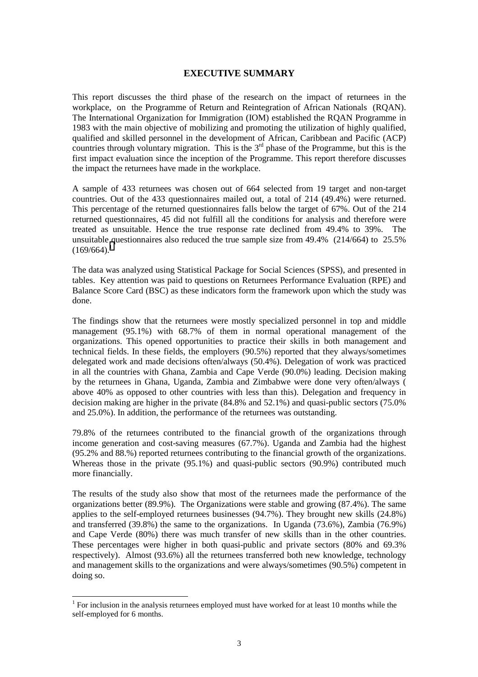#### **EXECUTIVE SUMMARY**

This report discusses the third phase of the research on the impact of returnees in the workplace, on the Programme of Return and Reintegration of African Nationals (RQAN). The International Organization for Immigration (IOM) established the RQAN Programme in 1983 with the main objective of mobilizing and promoting the utilization of highly qualified, qualified and skilled personnel in the development of African, Caribbean and Pacific (ACP) countries through voluntary migration. This is the  $3<sup>rd</sup>$  phase of the Programme, but this is the first impact evaluation since the inception of the Programme. This report therefore discusses the impact the returnees have made in the workplace.

A sample of 433 returnees was chosen out of 664 selected from 19 target and non-target countries. Out of the 433 questionnaires mailed out, a total of 214 (49.4%) were returned. This percentage of the returned questionnaires falls below the target of 67%. Out of the 214 returned questionnaires, 45 did not fulfill all the conditions for analysis and therefore were treated as unsuitable. Hence the true response rate declined from 49.4% to 39%. The unsuitable questionnaires also reduced the true sample size from 49.4% (214/664) to 25.5%  $(169/664)^1$ 

The data was analyzed using Statistical Package for Social Sciences (SPSS), and presented in tables. Key attention was paid to questions on Returnees Performance Evaluation (RPE) and Balance Score Card (BSC) as these indicators form the framework upon which the study was done.

The findings show that the returnees were mostly specialized personnel in top and middle management (95.1%) with 68.7% of them in normal operational management of the organizations. This opened opportunities to practice their skills in both management and technical fields. In these fields, the employers (90.5%) reported that they always/sometimes delegated work and made decisions often/always (50.4%). Delegation of work was practiced in all the countries with Ghana, Zambia and Cape Verde (90.0%) leading. Decision making by the returnees in Ghana, Uganda, Zambia and Zimbabwe were done very often/always ( above 40% as opposed to other countries with less than this). Delegation and frequency in decision making are higher in the private (84.8% and 52.1%) and quasi-public sectors (75.0% and 25.0%). In addition, the performance of the returnees was outstanding.

79.8% of the returnees contributed to the financial growth of the organizations through income generation and cost-saving measures (67.7%). Uganda and Zambia had the highest (95.2% and 88.%) reported returnees contributing to the financial growth of the organizations. Whereas those in the private (95.1%) and quasi-public sectors (90.9%) contributed much more financially.

The results of the study also show that most of the returnees made the performance of the organizations better (89.9%). The Organizations were stable and growing (87.4%). The same applies to the self-employed returnees businesses (94.7%). They brought new skills (24.8%) and transferred (39.8%) the same to the organizations. In Uganda (73.6%), Zambia (76.9%) and Cape Verde (80%) there was much transfer of new skills than in the other countries. These percentages were higher in both quasi-public and private sectors (80% and 69.3% respectively). Almost (93.6%) all the returnees transferred both new knowledge, technology and management skills to the organizations and were always/sometimes (90.5%) competent in doing so.

 $\overline{a}$ 

<sup>&</sup>lt;sup>1</sup> For inclusion in the analysis returnees employed must have worked for at least 10 months while the self-employed for 6 months.